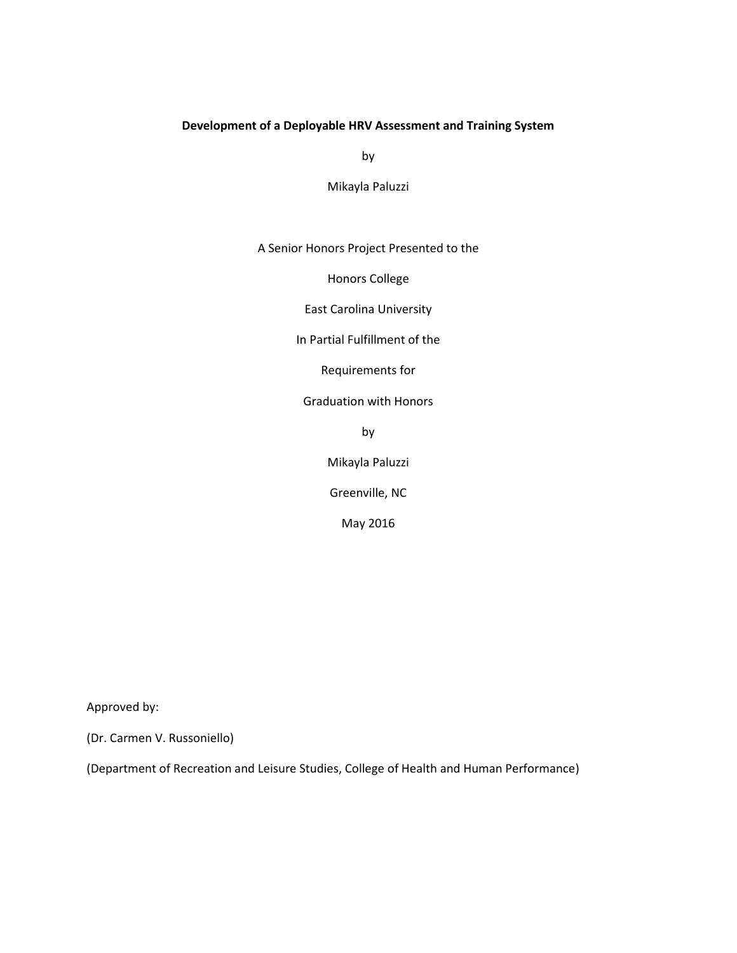# **Development of a Deployable HRV Assessment and Training System**

by

Mikayla Paluzzi

## A Senior Honors Project Presented to the

Honors College

East Carolina University

In Partial Fulfillment of the

Requirements for

Graduation with Honors

by

Mikayla Paluzzi

Greenville, NC

May 2016

Approved by:

(Dr. Carmen V. Russoniello)

(Department of Recreation and Leisure Studies, College of Health and Human Performance)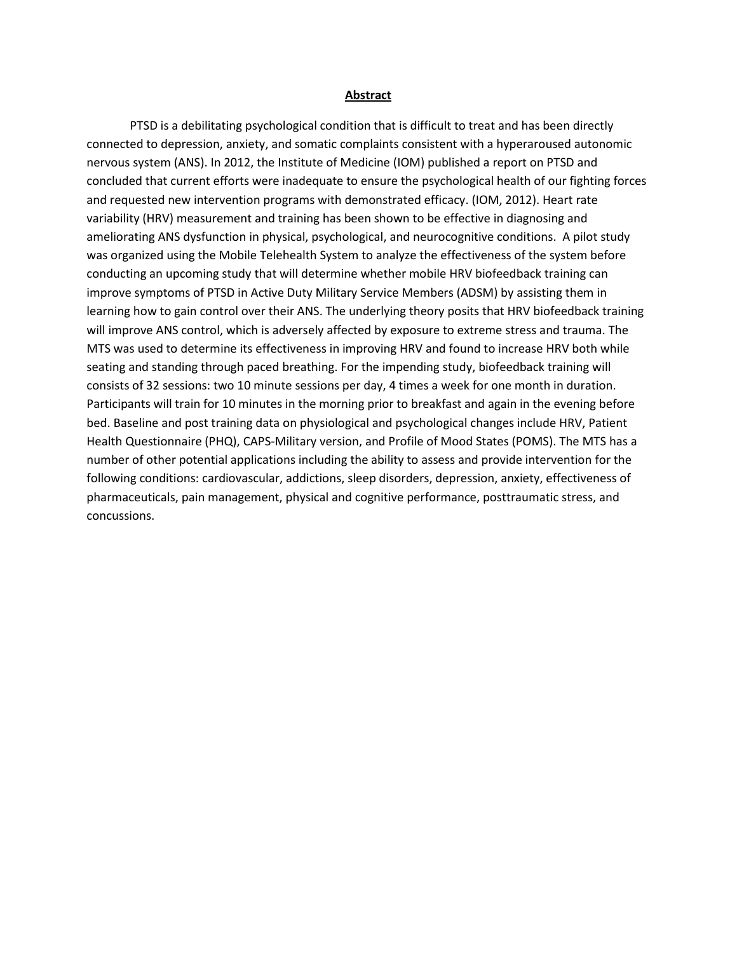#### **Abstract**

PTSD is a debilitating psychological condition that is difficult to treat and has been directly connected to depression, anxiety, and somatic complaints consistent with a hyperaroused autonomic nervous system (ANS). In 2012, the Institute of Medicine (IOM) published a report on PTSD and concluded that current efforts were inadequate to ensure the psychological health of our fighting forces and requested new intervention programs with demonstrated efficacy. (IOM, 2012). Heart rate variability (HRV) measurement and training has been shown to be effective in diagnosing and ameliorating ANS dysfunction in physical, psychological, and neurocognitive conditions. A pilot study was organized using the Mobile Telehealth System to analyze the effectiveness of the system before conducting an upcoming study that will determine whether mobile HRV biofeedback training can improve symptoms of PTSD in Active Duty Military Service Members (ADSM) by assisting them in learning how to gain control over their ANS. The underlying theory posits that HRV biofeedback training will improve ANS control, which is adversely affected by exposure to extreme stress and trauma. The MTS was used to determine its effectiveness in improving HRV and found to increase HRV both while seating and standing through paced breathing. For the impending study, biofeedback training will consists of 32 sessions: two 10 minute sessions per day, 4 times a week for one month in duration. Participants will train for 10 minutes in the morning prior to breakfast and again in the evening before bed. Baseline and post training data on physiological and psychological changes include HRV, Patient Health Questionnaire (PHQ), CAPS-Military version, and Profile of Mood States (POMS). The MTS has a number of other potential applications including the ability to assess and provide intervention for the following conditions: cardiovascular, addictions, sleep disorders, depression, anxiety, effectiveness of pharmaceuticals, pain management, physical and cognitive performance, posttraumatic stress, and concussions.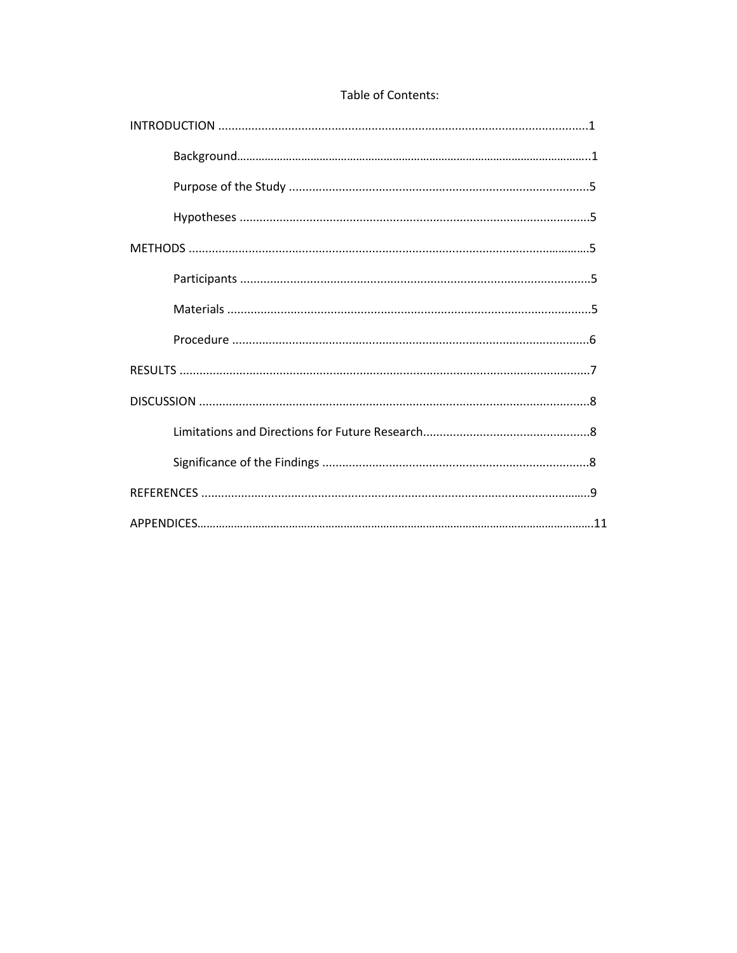## Table of Contents: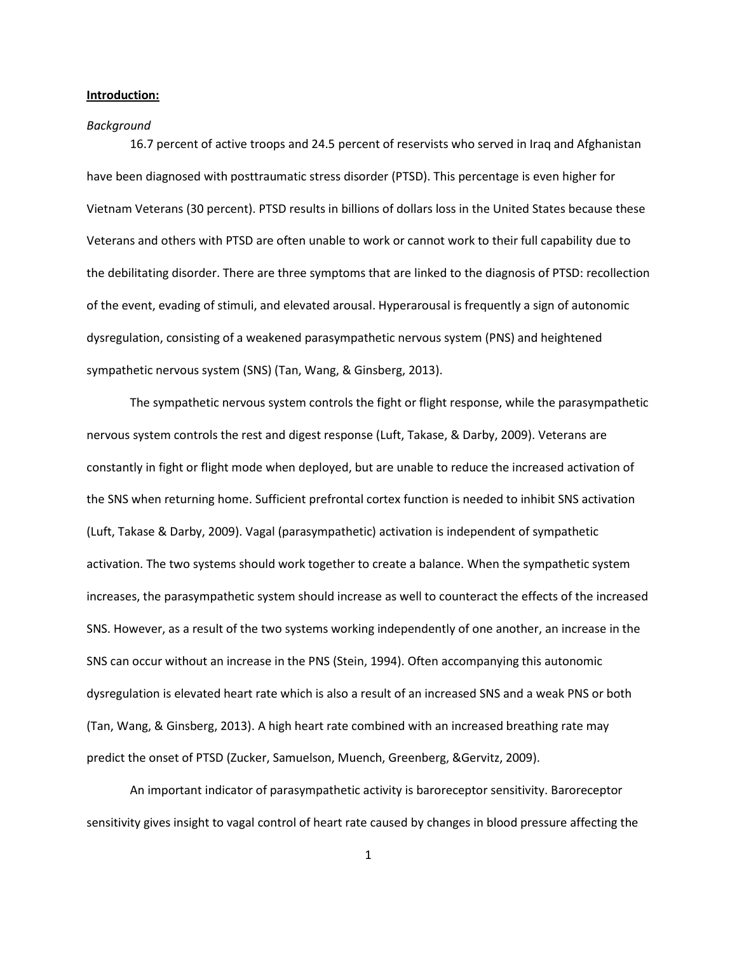#### **Introduction:**

#### *Background*

16.7 percent of active troops and 24.5 percent of reservists who served in Iraq and Afghanistan have been diagnosed with posttraumatic stress disorder (PTSD). This percentage is even higher for Vietnam Veterans (30 percent). PTSD results in billions of dollars loss in the United States because these Veterans and others with PTSD are often unable to work or cannot work to their full capability due to the debilitating disorder. There are three symptoms that are linked to the diagnosis of PTSD: recollection of the event, evading of stimuli, and elevated arousal. Hyperarousal is frequently a sign of autonomic dysregulation, consisting of a weakened parasympathetic nervous system (PNS) and heightened sympathetic nervous system (SNS) (Tan, Wang, & Ginsberg, 2013).

The sympathetic nervous system controls the fight or flight response, while the parasympathetic nervous system controls the rest and digest response (Luft, Takase, & Darby, 2009). Veterans are constantly in fight or flight mode when deployed, but are unable to reduce the increased activation of the SNS when returning home. Sufficient prefrontal cortex function is needed to inhibit SNS activation (Luft, Takase & Darby, 2009). Vagal (parasympathetic) activation is independent of sympathetic activation. The two systems should work together to create a balance. When the sympathetic system increases, the parasympathetic system should increase as well to counteract the effects of the increased SNS. However, as a result of the two systems working independently of one another, an increase in the SNS can occur without an increase in the PNS (Stein, 1994). Often accompanying this autonomic dysregulation is elevated heart rate which is also a result of an increased SNS and a weak PNS or both (Tan, Wang, & Ginsberg, 2013). A high heart rate combined with an increased breathing rate may predict the onset of PTSD (Zucker, Samuelson, Muench, Greenberg, &Gervitz, 2009).

An important indicator of parasympathetic activity is baroreceptor sensitivity. Baroreceptor sensitivity gives insight to vagal control of heart rate caused by changes in blood pressure affecting the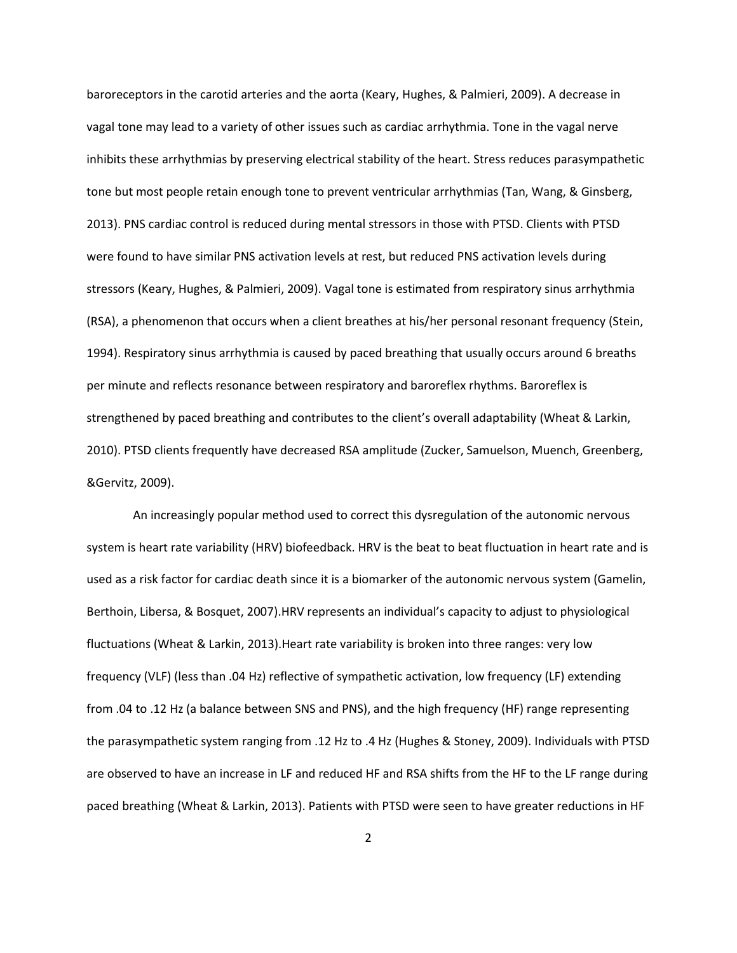baroreceptors in the carotid arteries and the aorta (Keary, Hughes, & Palmieri, 2009). A decrease in vagal tone may lead to a variety of other issues such as cardiac arrhythmia. Tone in the vagal nerve inhibits these arrhythmias by preserving electrical stability of the heart. Stress reduces parasympathetic tone but most people retain enough tone to prevent ventricular arrhythmias (Tan, Wang, & Ginsberg, 2013). PNS cardiac control is reduced during mental stressors in those with PTSD. Clients with PTSD were found to have similar PNS activation levels at rest, but reduced PNS activation levels during stressors (Keary, Hughes, & Palmieri, 2009). Vagal tone is estimated from respiratory sinus arrhythmia (RSA), a phenomenon that occurs when a client breathes at his/her personal resonant frequency (Stein, 1994). Respiratory sinus arrhythmia is caused by paced breathing that usually occurs around 6 breaths per minute and reflects resonance between respiratory and baroreflex rhythms. Baroreflex is strengthened by paced breathing and contributes to the client's overall adaptability (Wheat & Larkin, 2010). PTSD clients frequently have decreased RSA amplitude (Zucker, Samuelson, Muench, Greenberg, &Gervitz, 2009).

An increasingly popular method used to correct this dysregulation of the autonomic nervous system is heart rate variability (HRV) biofeedback. HRV is the beat to beat fluctuation in heart rate and is used as a risk factor for cardiac death since it is a biomarker of the autonomic nervous system (Gamelin, Berthoin, Libersa, & Bosquet, 2007).HRV represents an individual's capacity to adjust to physiological fluctuations (Wheat & Larkin, 2013). Heart rate variability is broken into three ranges: very low frequency (VLF) (less than .04 Hz) reflective of sympathetic activation, low frequency (LF) extending from .04 to .12 Hz (a balance between SNS and PNS), and the high frequency (HF) range representing the parasympathetic system ranging from .12 Hz to .4 Hz (Hughes & Stoney, 2009). Individuals with PTSD are observed to have an increase in LF and reduced HF and RSA shifts from the HF to the LF range during paced breathing (Wheat & Larkin, 2013). Patients with PTSD were seen to have greater reductions in HF

2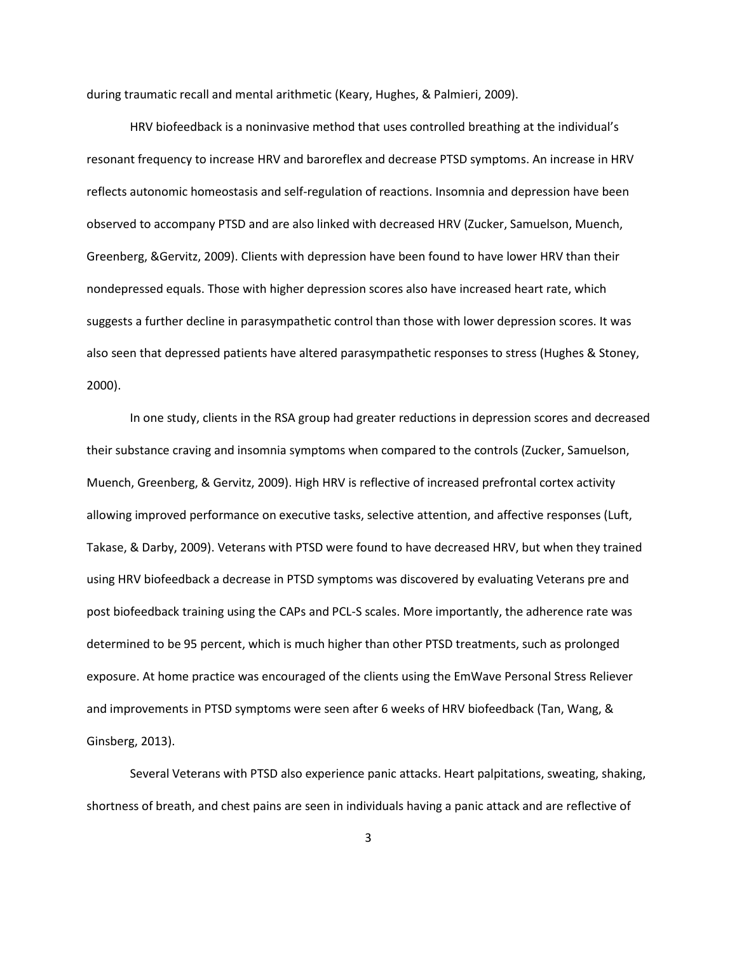during traumatic recall and mental arithmetic (Keary, Hughes, & Palmieri, 2009).

HRV biofeedback is a noninvasive method that uses controlled breathing at the individual's resonant frequency to increase HRV and baroreflex and decrease PTSD symptoms. An increase in HRV reflects autonomic homeostasis and self-regulation of reactions. Insomnia and depression have been observed to accompany PTSD and are also linked with decreased HRV (Zucker, Samuelson, Muench, Greenberg, &Gervitz, 2009). Clients with depression have been found to have lower HRV than their nondepressed equals. Those with higher depression scores also have increased heart rate, which suggests a further decline in parasympathetic control than those with lower depression scores. It was also seen that depressed patients have altered parasympathetic responses to stress (Hughes & Stoney, 2000).

In one study, clients in the RSA group had greater reductions in depression scores and decreased their substance craving and insomnia symptoms when compared to the controls (Zucker, Samuelson, Muench, Greenberg, & Gervitz, 2009). High HRV is reflective of increased prefrontal cortex activity allowing improved performance on executive tasks, selective attention, and affective responses (Luft, Takase, & Darby, 2009). Veterans with PTSD were found to have decreased HRV, but when they trained using HRV biofeedback a decrease in PTSD symptoms was discovered by evaluating Veterans pre and post biofeedback training using the CAPs and PCL-S scales. More importantly, the adherence rate was determined to be 95 percent, which is much higher than other PTSD treatments, such as prolonged exposure. At home practice was encouraged of the clients using the EmWave Personal Stress Reliever and improvements in PTSD symptoms were seen after 6 weeks of HRV biofeedback (Tan, Wang, & Ginsberg, 2013).

Several Veterans with PTSD also experience panic attacks. Heart palpitations, sweating, shaking, shortness of breath, and chest pains are seen in individuals having a panic attack and are reflective of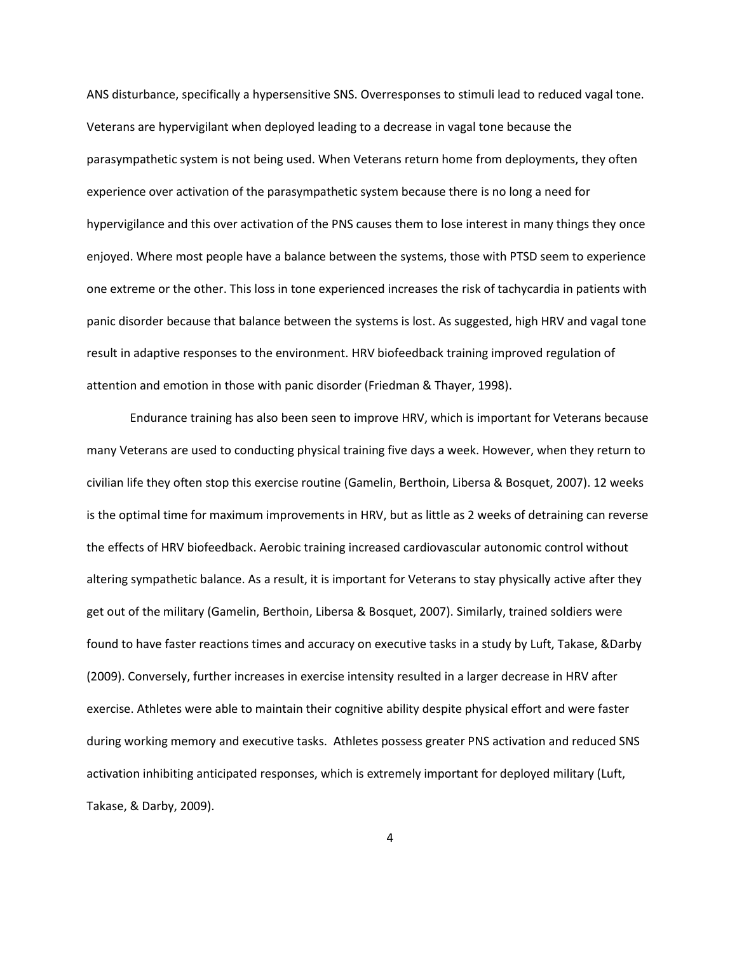ANS disturbance, specifically a hypersensitive SNS. Overresponses to stimuli lead to reduced vagal tone. Veterans are hypervigilant when deployed leading to a decrease in vagal tone because the parasympathetic system is not being used. When Veterans return home from deployments, they often experience over activation of the parasympathetic system because there is no long a need for hypervigilance and this over activation of the PNS causes them to lose interest in many things they once enjoyed. Where most people have a balance between the systems, those with PTSD seem to experience one extreme or the other. This loss in tone experienced increases the risk of tachycardia in patients with panic disorder because that balance between the systems is lost. As suggested, high HRV and vagal tone result in adaptive responses to the environment. HRV biofeedback training improved regulation of attention and emotion in those with panic disorder (Friedman & Thayer, 1998).

Endurance training has also been seen to improve HRV, which is important for Veterans because many Veterans are used to conducting physical training five days a week. However, when they return to civilian life they often stop this exercise routine (Gamelin, Berthoin, Libersa & Bosquet, 2007). 12 weeks is the optimal time for maximum improvements in HRV, but as little as 2 weeks of detraining can reverse the effects of HRV biofeedback. Aerobic training increased cardiovascular autonomic control without altering sympathetic balance. As a result, it is important for Veterans to stay physically active after they get out of the military (Gamelin, Berthoin, Libersa & Bosquet, 2007). Similarly, trained soldiers were found to have faster reactions times and accuracy on executive tasks in a study by Luft, Takase, &Darby (2009). Conversely, further increases in exercise intensity resulted in a larger decrease in HRV after exercise. Athletes were able to maintain their cognitive ability despite physical effort and were faster during working memory and executive tasks. Athletes possess greater PNS activation and reduced SNS activation inhibiting anticipated responses, which is extremely important for deployed military (Luft, Takase, & Darby, 2009).

4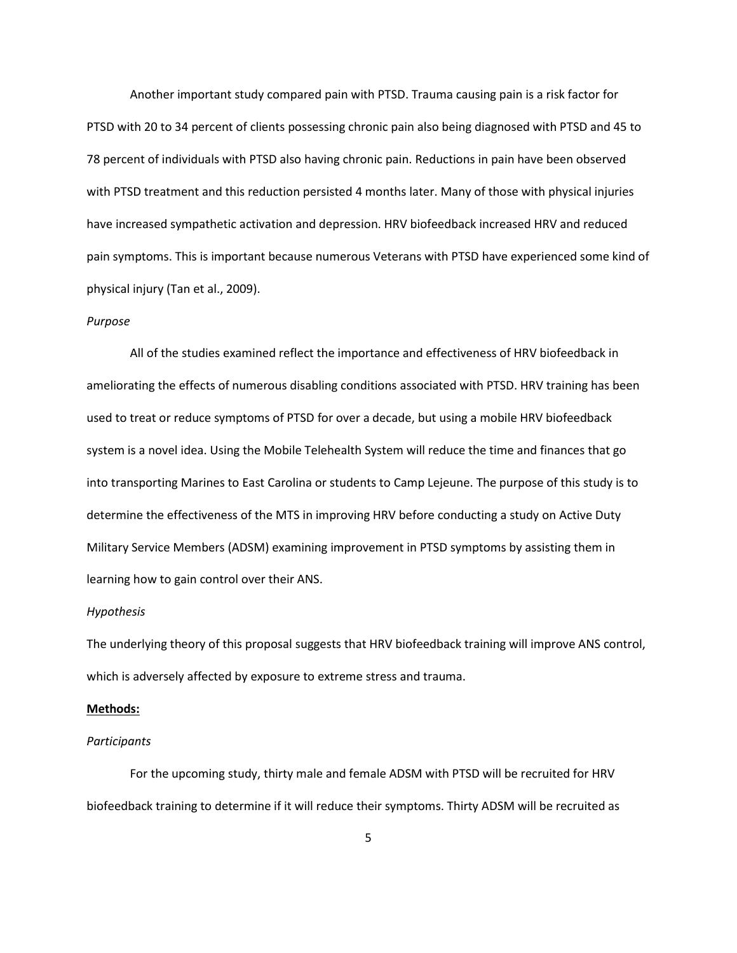Another important study compared pain with PTSD. Trauma causing pain is a risk factor for PTSD with 20 to 34 percent of clients possessing chronic pain also being diagnosed with PTSD and 45 to 78 percent of individuals with PTSD also having chronic pain. Reductions in pain have been observed with PTSD treatment and this reduction persisted 4 months later. Many of those with physical injuries have increased sympathetic activation and depression. HRV biofeedback increased HRV and reduced pain symptoms. This is important because numerous Veterans with PTSD have experienced some kind of physical injury (Tan et al., 2009).

#### *Purpose*

All of the studies examined reflect the importance and effectiveness of HRV biofeedback in ameliorating the effects of numerous disabling conditions associated with PTSD. HRV training has been used to treat or reduce symptoms of PTSD for over a decade, but using a mobile HRV biofeedback system is a novel idea. Using the Mobile Telehealth System will reduce the time and finances that go into transporting Marines to East Carolina or students to Camp Lejeune. The purpose of this study is to determine the effectiveness of the MTS in improving HRV before conducting a study on Active Duty Military Service Members (ADSM) examining improvement in PTSD symptoms by assisting them in learning how to gain control over their ANS.

#### *Hypothesis*

The underlying theory of this proposal suggests that HRV biofeedback training will improve ANS control, which is adversely affected by exposure to extreme stress and trauma.

#### **Methods:**

#### *Participants*

For the upcoming study, thirty male and female ADSM with PTSD will be recruited for HRV biofeedback training to determine if it will reduce their symptoms. Thirty ADSM will be recruited as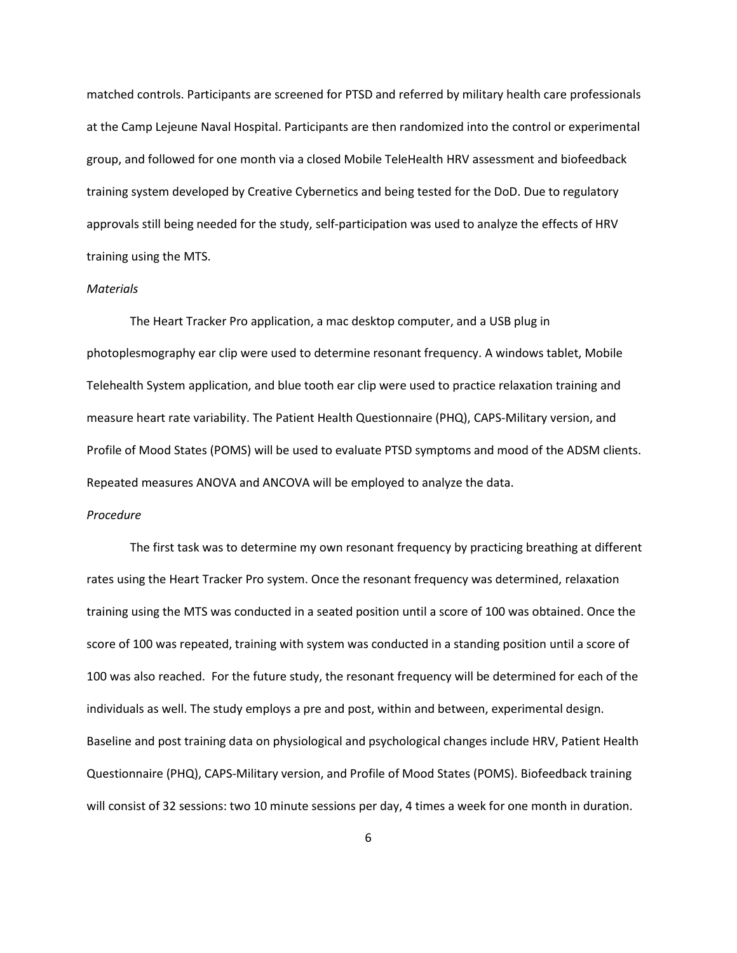matched controls. Participants are screened for PTSD and referred by military health care professionals at the Camp Lejeune Naval Hospital. Participants are then randomized into the control or experimental group, and followed for one month via a closed Mobile TeleHealth HRV assessment and biofeedback training system developed by Creative Cybernetics and being tested for the DoD. Due to regulatory approvals still being needed for the study, self-participation was used to analyze the effects of HRV training using the MTS.

#### *Materials*

The Heart Tracker Pro application, a mac desktop computer, and a USB plug in photoplesmography ear clip were used to determine resonant frequency. A windows tablet, Mobile Telehealth System application, and blue tooth ear clip were used to practice relaxation training and measure heart rate variability. The Patient Health Questionnaire (PHQ), CAPS-Military version, and Profile of Mood States (POMS) will be used to evaluate PTSD symptoms and mood of the ADSM clients. Repeated measures ANOVA and ANCOVA will be employed to analyze the data.

## *Procedure*

The first task was to determine my own resonant frequency by practicing breathing at different rates using the Heart Tracker Pro system. Once the resonant frequency was determined, relaxation training using the MTS was conducted in a seated position until a score of 100 was obtained. Once the score of 100 was repeated, training with system was conducted in a standing position until a score of 100 was also reached. For the future study, the resonant frequency will be determined for each of the individuals as well. The study employs a pre and post, within and between, experimental design. Baseline and post training data on physiological and psychological changes include HRV, Patient Health Questionnaire (PHQ), CAPS-Military version, and Profile of Mood States (POMS). Biofeedback training will consist of 32 sessions: two 10 minute sessions per day, 4 times a week for one month in duration.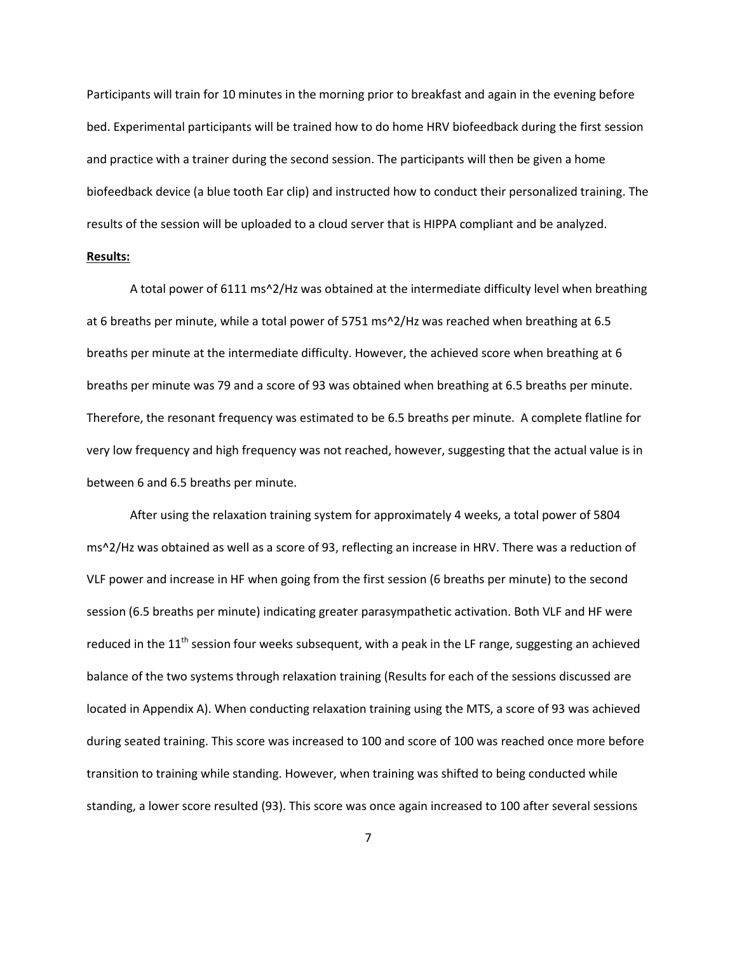Participants will train for 10 minutes in the morning prior to breakfast and again in the evening before bed. Experimental participants will be trained how to do home HRV biofeedback during the first session and practice with a trainer during the second session. The participants will then be given a home biofeedback device (a blue tooth Ear clip) and instructed how to conduct their personalized training. The results of the session will be uploaded to a cloud server that is HIPPA compliant and be analyzed.

## **Results:**

A total power of 6111 ms^2/Hz was obtained at the intermediate difficulty level when breathing at 6 breaths per minute, while a total power of 5751 ms^2/Hz was reached when breathing at 6.5 breaths per minute at the intermediate difficulty. However, the achieved score when breathing at 6 breaths per minute was 79 and a score of 93 was obtained when breathing at 6.5 breaths per minute. Therefore, the resonant frequency was estimated to be 6.5 breaths per minute. A complete flatline for very low frequency and high frequency was not reached, however, suggesting that the actual value is in between 6 and 6.5 breaths per minute.

After using the relaxation training system for approximately 4 weeks, a total power of 5804 ms^2/Hz was obtained as well as a score of 93, reflecting an increase in HRV. There was a reduction of VLF power and increase in HF when going from the first session (6 breaths per minute) to the second session (6.5 breaths per minute) indicating greater parasympathetic activation. Both VLF and HF were reduced in the  $11<sup>th</sup>$  session four weeks subsequent, with a peak in the LF range, suggesting an achieved balance of the two systems through relaxation training (Results for each of the sessions discussed are located in Appendix A). When conducting relaxation training using the MTS, a score of 93 was achieved during seated training. This score was increased to 100 and score of 100 was reached once more before transition to training while standing. However, when training was shifted to being conducted while standing, a lower score resulted (93). This score was once again increased to 100 after several sessions

7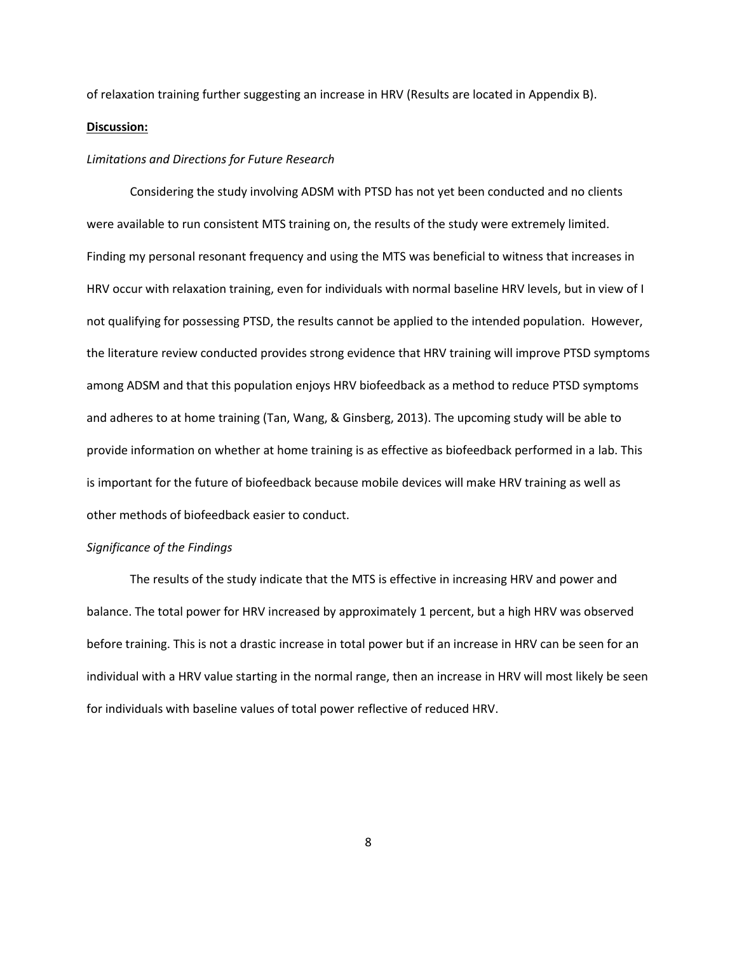of relaxation training further suggesting an increase in HRV (Results are located in Appendix B). **Discussion:**

### *Limitations and Directions for Future Research*

Considering the study involving ADSM with PTSD has not yet been conducted and no clients were available to run consistent MTS training on, the results of the study were extremely limited. Finding my personal resonant frequency and using the MTS was beneficial to witness that increases in HRV occur with relaxation training, even for individuals with normal baseline HRV levels, but in view of I not qualifying for possessing PTSD, the results cannot be applied to the intended population. However, the literature review conducted provides strong evidence that HRV training will improve PTSD symptoms among ADSM and that this population enjoys HRV biofeedback as a method to reduce PTSD symptoms and adheres to at home training (Tan, Wang, & Ginsberg, 2013). The upcoming study will be able to provide information on whether at home training is as effective as biofeedback performed in a lab. This is important for the future of biofeedback because mobile devices will make HRV training as well as other methods of biofeedback easier to conduct.

#### *Significance of the Findings*

The results of the study indicate that the MTS is effective in increasing HRV and power and balance. The total power for HRV increased by approximately 1 percent, but a high HRV was observed before training. This is not a drastic increase in total power but if an increase in HRV can be seen for an individual with a HRV value starting in the normal range, then an increase in HRV will most likely be seen for individuals with baseline values of total power reflective of reduced HRV.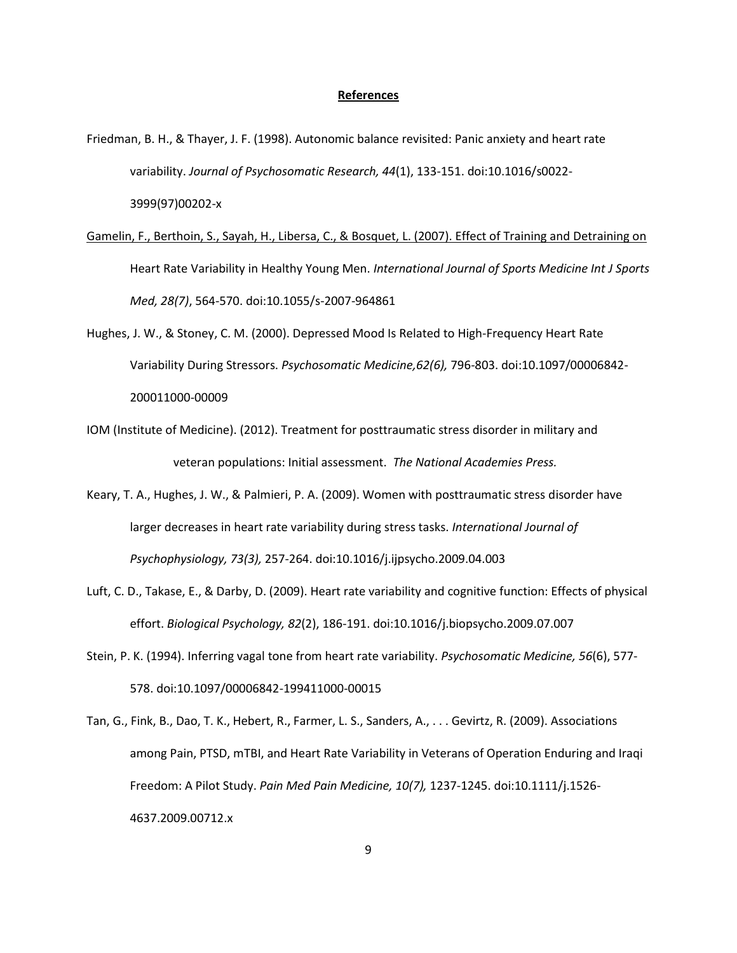#### **References**

Friedman, B. H., & Thayer, J. F. (1998). Autonomic balance revisited: Panic anxiety and heart rate variability. *Journal of Psychosomatic Research, 44*(1), 133-151. doi:10.1016/s0022- 3999(97)00202-x

Gamelin, F., Berthoin, S., Sayah, H., Libersa, C., & Bosquet, L. (2007). Effect of Training and Detraining on Heart Rate Variability in Healthy Young Men. *International Journal of Sports Medicine Int J Sports Med, 28(7)*, 564-570. doi:10.1055/s-2007-964861

- Hughes, J. W., & Stoney, C. M. (2000). Depressed Mood Is Related to High-Frequency Heart Rate Variability During Stressors. *Psychosomatic Medicine,62(6),* 796-803. doi:10.1097/00006842- 200011000-00009
- IOM (Institute of Medicine). (2012). Treatment for posttraumatic stress disorder in military and veteran populations: Initial assessment. *The National Academies Press.*
- Keary, T. A., Hughes, J. W., & Palmieri, P. A. (2009). Women with posttraumatic stress disorder have larger decreases in heart rate variability during stress tasks. *International Journal of Psychophysiology, 73(3),* 257-264. doi:10.1016/j.ijpsycho.2009.04.003
- Luft, C. D., Takase, E., & Darby, D. (2009). Heart rate variability and cognitive function: Effects of physical effort. *Biological Psychology, 82*(2), 186-191. doi:10.1016/j.biopsycho.2009.07.007
- Stein, P. K. (1994). Inferring vagal tone from heart rate variability. *Psychosomatic Medicine, 56*(6), 577- 578. doi:10.1097/00006842-199411000-00015
- Tan, G., Fink, B., Dao, T. K., Hebert, R., Farmer, L. S., Sanders, A., . . . Gevirtz, R. (2009). Associations among Pain, PTSD, mTBI, and Heart Rate Variability in Veterans of Operation Enduring and Iraqi Freedom: A Pilot Study. *Pain Med Pain Medicine, 10(7),* 1237-1245. doi:10.1111/j.1526- 4637.2009.00712.x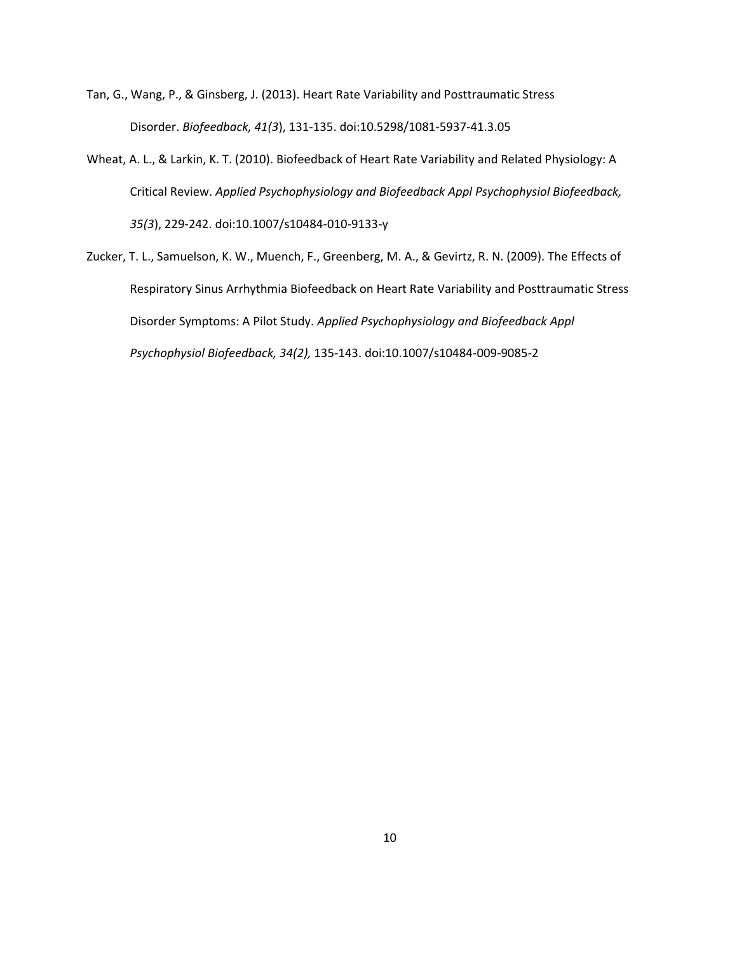- Tan, G., Wang, P., & Ginsberg, J. (2013). Heart Rate Variability and Posttraumatic Stress Disorder. *Biofeedback, 41(3*), 131-135. doi:10.5298/1081-5937-41.3.05
- Wheat, A. L., & Larkin, K. T. (2010). Biofeedback of Heart Rate Variability and Related Physiology: A Critical Review. *Applied Psychophysiology and Biofeedback Appl Psychophysiol Biofeedback, 35(3*), 229-242. doi:10.1007/s10484-010-9133-y
- Zucker, T. L., Samuelson, K. W., Muench, F., Greenberg, M. A., & Gevirtz, R. N. (2009). The Effects of Respiratory Sinus Arrhythmia Biofeedback on Heart Rate Variability and Posttraumatic Stress Disorder Symptoms: A Pilot Study. *Applied Psychophysiology and Biofeedback Appl Psychophysiol Biofeedback, 34(2),* 135-143. doi:10.1007/s10484-009-9085-2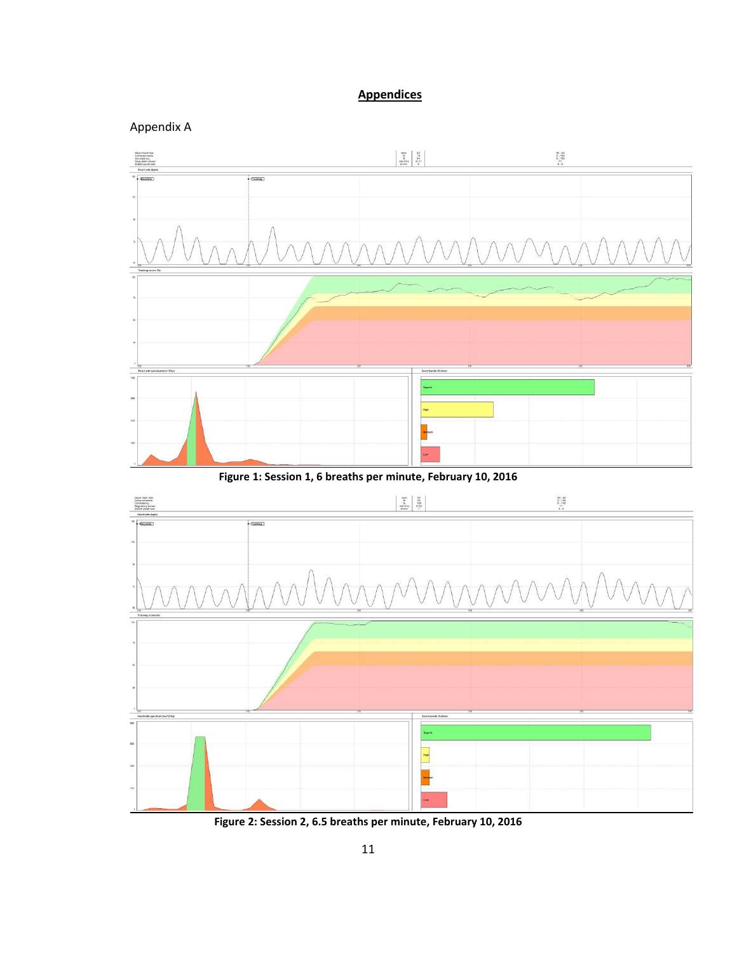# **Appendices**





**Figure 2: Session 2, 6.5 breaths per minute, February 10, 2016**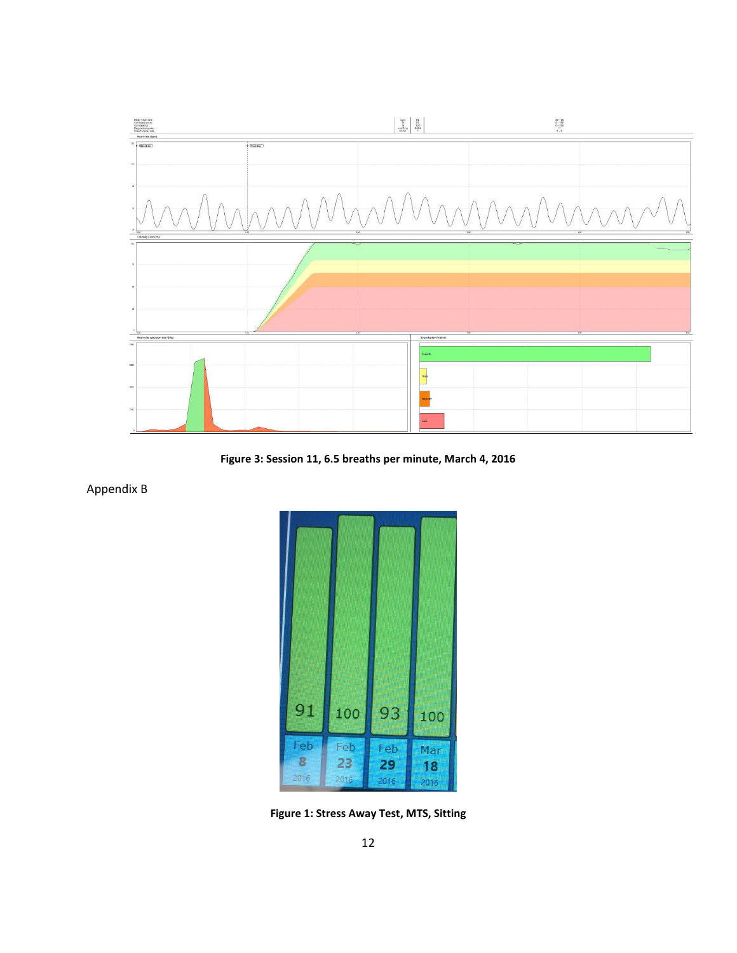

**Figure 3: Session 11, 6.5 breaths per minute, March 4, 2016**

Appendix B



**Figure 1: Stress Away Test, MTS, Sitting**